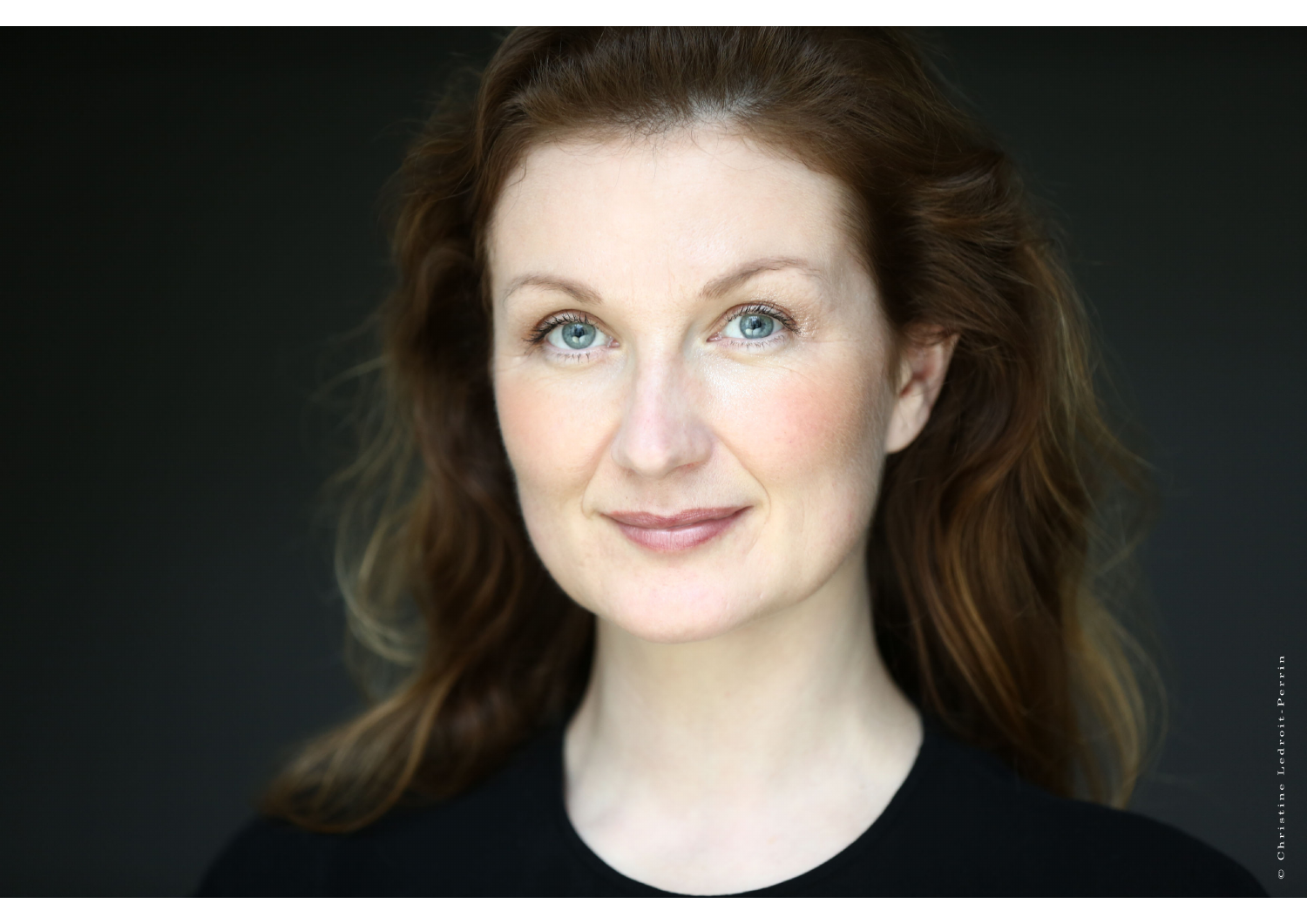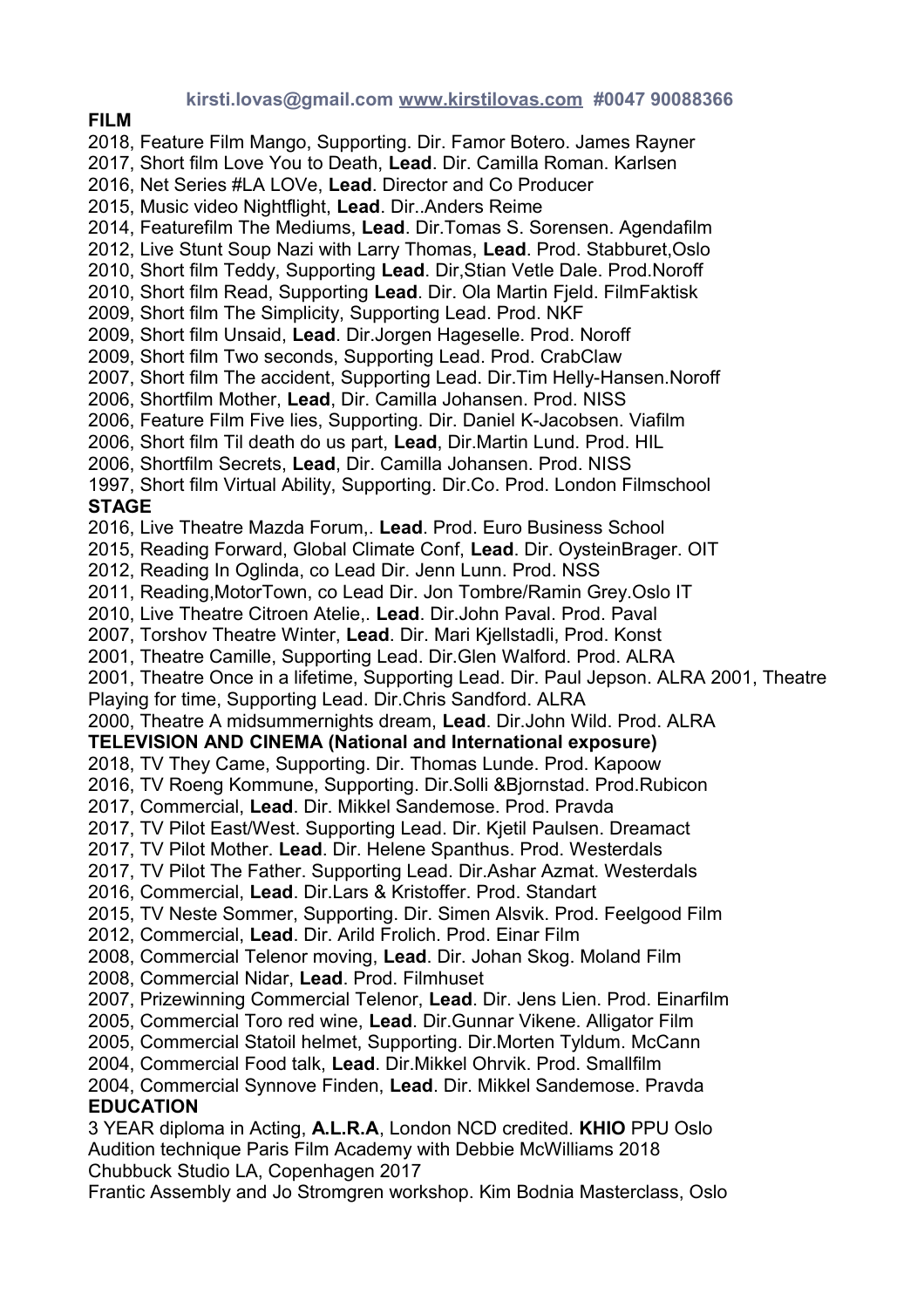## **kirsti.lovas@gmail.com [www.kirstilovas.com](http://www.kirstilovas.com/) #0047 90088366**

**FILM**

2018, Feature Film Mango, Supporting. Dir. Famor Botero. James Rayner 2017, Short film Love You to Death, **Lead**. Dir. Camilla Roman. Karlsen 2016, Net Series #LA LOVe, **Lead**. Director and Co Producer 2015, Music video Nightflight, **Lead**. Dir..Anders Reime 2014, Featurefilm The Mediums, **Lead**. Dir.Tomas S. Sorensen. Agendafilm 2012, Live Stunt Soup Nazi with Larry Thomas, **Lead**. Prod. Stabburet,Oslo 2010, Short film Teddy, Supporting **Lead**. Dir,Stian Vetle Dale. Prod.Noroff 2010, Short film Read, Supporting **Lead**. Dir. Ola Martin Fjeld. FilmFaktisk 2009, Short film The Simplicity, Supporting Lead. Prod. NKF 2009, Short film Unsaid, **Lead**. Dir.Jorgen Hageselle. Prod. Noroff 2009, Short film Two seconds, Supporting Lead. Prod. CrabClaw 2007, Short film The accident, Supporting Lead. Dir.Tim Helly-Hansen.Noroff 2006, Shortfilm Mother, **Lead**, Dir. Camilla Johansen. Prod. NISS 2006, Feature Film Five lies, Supporting. Dir. Daniel K-Jacobsen. Viafilm 2006, Short film Til death do us part, **Lead**, Dir.Martin Lund. Prod. HIL 2006, Shortfilm Secrets, **Lead**, Dir. Camilla Johansen. Prod. NISS 1997, Short film Virtual Ability, Supporting. Dir.Co. Prod. London Filmschool **STAGE** 2016, Live Theatre Mazda Forum,. **Lead**. Prod. Euro Business School 2015, Reading Forward, Global Climate Conf, **Lead**. Dir. OysteinBrager. OIT 2012, Reading In Oglinda, co Lead Dir. Jenn Lunn. Prod. NSS 2011, Reading,MotorTown, co Lead Dir. Jon Tombre/Ramin Grey.Oslo IT 2010, Live Theatre Citroen Atelie,. **Lead**. Dir.John Paval. Prod. Paval 2007, Torshov Theatre Winter, **Lead**. Dir. Mari Kjellstadli, Prod. Konst 2001, Theatre Camille, Supporting Lead. Dir.Glen Walford. Prod. ALRA 2001, Theatre Once in a lifetime, Supporting Lead. Dir. Paul Jepson. ALRA 2001, Theatre Playing for time, Supporting Lead. Dir.Chris Sandford. ALRA 2000, Theatre A midsummernights dream, **Lead**. Dir.John Wild. Prod. ALRA **TELEVISION AND CINEMA (National and International exposure)** 2018, TV They Came, Supporting. Dir. Thomas Lunde. Prod. Kapoow 2016, TV Roeng Kommune, Supporting. Dir.Solli &Bjornstad. Prod.Rubicon 2017, Commercial, **Lead**. Dir. Mikkel Sandemose. Prod. Pravda 2017, TV Pilot East/West. Supporting Lead. Dir. Kjetil Paulsen. Dreamact 2017, TV Pilot Mother. **Lead**. Dir. Helene Spanthus. Prod. Westerdals 2017, TV Pilot The Father. Supporting Lead. Dir.Ashar Azmat. Westerdals 2016, Commercial, **Lead**. Dir.Lars & Kristoffer. Prod. Standart 2015, TV Neste Sommer, Supporting. Dir. Simen Alsvik. Prod. Feelgood Film 2012, Commercial, **Lead**. Dir. Arild Frolich. Prod. Einar Film 2008, Commercial Telenor moving, **Lead**. Dir. Johan Skog. Moland Film 2008, Commercial Nidar, **Lead**. Prod. Filmhuset 2007, Prizewinning Commercial Telenor, **Lead**. Dir. Jens Lien. Prod. Einarfilm 2005, Commercial Toro red wine, **Lead**. Dir.Gunnar Vikene. Alligator Film 2005, Commercial Statoil helmet, Supporting. Dir.Morten Tyldum. McCann 2004, Commercial Food talk, **Lead**. Dir.Mikkel Ohrvik. Prod. Smallfilm 2004, Commercial Synnove Finden, **Lead**. Dir. Mikkel Sandemose. Pravda **EDUCATION**  3 YEAR diploma in Acting, **A.L.R.A**, London NCD credited. **KHIO** PPU Oslo Audition technique Paris Film Academy with Debbie McWilliams 2018 Chubbuck Studio LA, Copenhagen 2017 Frantic Assembly and Jo Stromgren workshop. Kim Bodnia Masterclass, Oslo